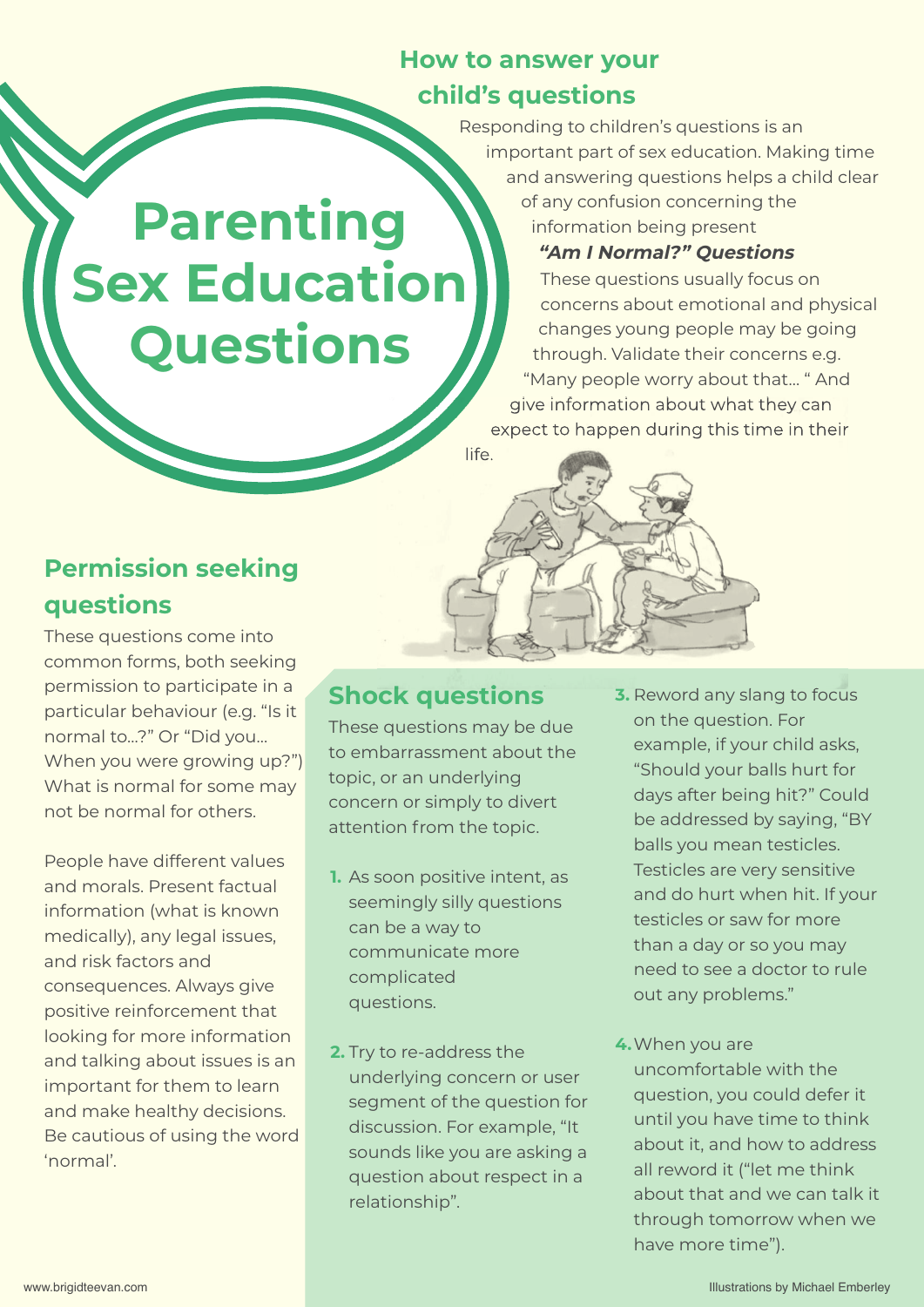## **How to answer your child's questions**

Responding to children's questions is an important part of sex education. Making time and answering questions helps a child clear of any confusion concerning the information being present

#### **"Am I Normal?" Questions**

These questions usually focus on concerns about emotional and physical changes young people may be going through. Validate their concerns e.g. "Many people worry about that… " And give information about what they can expect to happen during this time in their

life.



**Parenting**

**Sex Education**

**Questions**

These questions come into common forms, both seeking permission to participate in a particular behaviour (e.g. "Is it normal to…?" Or "Did you… When you were growing up?") What is normal for some may not be normal for others.

People have different values and morals. Present factual information (what is known medically), any legal issues, and risk factors and consequences. Always give positive reinforcement that looking for more information and talking about issues is an important for them to learn and make healthy decisions. Be cautious of using the word 'normal'.

#### **Shock questions**

These questions may be due to embarrassment about the topic, or an underlying concern or simply to divert attention from the topic.

- **1.** As soon positive intent, as seemingly silly questions can be a way to communicate more complicated questions.
- **2.** Try to re-address the underlying concern or user segment of the question for discussion. For example, "It sounds like you are asking a question about respect in a relationship".
- **3.** Reword any slang to focus on the question. For example, if your child asks, "Should your balls hurt for days after being hit?" Could be addressed by saying, "BY balls you mean testicles. Testicles are very sensitive and do hurt when hit. If your testicles or saw for more than a day or so you may need to see a doctor to rule out any problems."
- **4.**When you are uncomfortable with the question, you could defer it until you have time to think about it, and how to address all reword it ("let me think about that and we can talk it through tomorrow when we have more time").